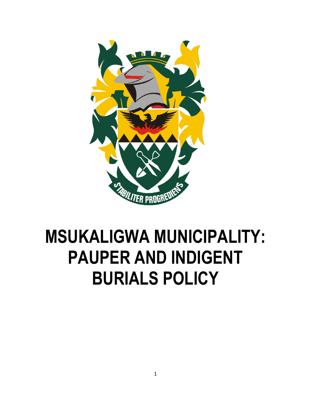

# **MSUKALIGWA MUNICIPALITY: PAUPER AND INDIGENT BURIALS POLICY**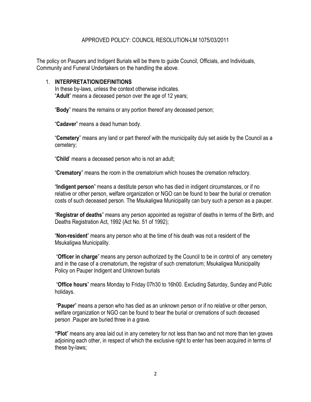#### APPROVED POLICY: COUNCIL RESOLUTION-LM 1075/03/2011

The policy on Paupers and Indigent Burials will be there to guide Council, Officials, and Individuals, Community and Funeral Undertakers on the handling the above.

#### 1. **INTERPRETATION/DEFINITIONS**

In these by-laws, unless the context otherwise indicates. "**Adult**" means a deceased person over the age of 12 years;

"**Body**" means the remains or any portion thereof any deceased person;

"**Cadaver**" means a dead human body.

"**Cemetery**" means any land or part thereof with the municipality duly set aside by the Council as a cemetery;

"**Child**' means a deceased person who is not an adult;

"**Crematory**" means the room in the crematorium which houses the cremation refractory.

"**Indigent person**" means a destitute person who has died in indigent circumstances, or if no relative or other person, welfare organization or NGO can be found to bear the burial or cremation costs of such deceased person. The Msukaligwa Municipality can bury such a person as a pauper.

"**Registrar of deaths**" means any person appointed as registrar of deaths in terms of the Birth, and Deaths Registration Act, 1992 (Act No. 51 of 1992);

"**Non-resident**" means any person who at the time of his death was not a resident of the Msukaligwa Municipality.

"**Officer in charge**" means any person authorized by the Council to be in control of any cemetery and in the case of a crematorium, the registrar of such crematorium; Msukaligwa Municipality Policy on Pauper Indigent and Unknown burials

"**Office hours**" means Monday to Friday 07h30 to 16h00. Excluding Saturday, Sunday and Public holidays.

"**Pauper**" means a person who has died as an unknown person or if no relative or other person, welfare organization or NGO can be found to bear the burial or cremations of such deceased person .Pauper are buried three in a grave.

**"Plot**" means any area laid out in any cemetery for not less than two and not more than ten graves adjoining each other, in respect of which the exclusive right to enter has been acquired in terms of these by-laws;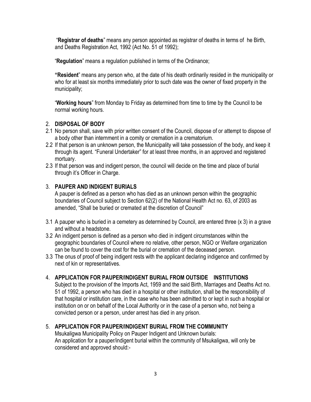"**Registrar of deaths**" means any person appointed as registrar of deaths in terms of he Birth, and Deaths Registration Act, 1992 (Act No. 51 of 1992);

"**Regulation**" means a regulation published in terms of the Ordinance;

**"Resident**" means any person who, at the date of his death ordinarily resided in the municipality or who for at least six months immediately prior to such date was the owner of fixed property in the municipality;

"**Working hours**" from Monday to Friday as determined from time to time by the Council to be normal working hours.

# 2. **DISPOSAL OF BODY**

- 2.1 No person shall, save with prior written consent of the Council, dispose of or attempt to dispose of a body other than internment in a comity or cremation in a crematorium.
- 2.2 If that person is an unknown person, the Municipality will take possession of the body, and keep it through its agent. "Funeral Undertaker" for at least three months, in an approved and registered mortuary.
- 2.3 If that person was and indigent person, the council will decide on the time and place of burial through it's Officer in Charge.

# 3. **PAUPER AND INDIGENT BURIALS**

A pauper is defined as a person who has died as an unknown person within the geographic boundaries of Council subject to Section 62(2) of the National Health Act no. 63, of 2003 as amended, "Shall be buried or cremated at the discretion of Council"

- 3.1 A pauper who is buried in a cemetery as determined by Council, are entered three (x 3) in a grave and without a headstone.
- 3.2 An indigent person is defined as a person who died in indigent circumstances within the geographic boundaries of Council where no relative, other person, NGO or Welfare organization can be found to cover the cost for the burial or cremation of the deceased person.
- 3.3 The onus of proof of being indigent rests with the applicant declaring indigence and confirmed by next of kin or representatives.

# 4. **APPLICATION FOR PAUPER/INDIGENT BURIAL FROM OUTSIDE INSTITUTIONS**

Subject to the provision of the Imports Act, 1959 and the said Birth, Marriages and Deaths Act no. 51 of 1992, a person who has died in a hospital or other institution, shall be the responsibility of that hospital or institution care, in the case who has been admitted to or kept in such a hospital or institution on or on behalf of the Local Authority or in the case of a person who, not being a convicted person or a person, under arrest has died in any prison.

# 5. **APPLICATION FOR PAUPER/INDIGENT BURIAL FROM THE COMMUNITY**

Msukaligwa Municipality Policy on Pauper Indigent and Unknown burials: An application for a pauper/indigent burial within the community of Msukaligwa, will only be considered and approved should:-